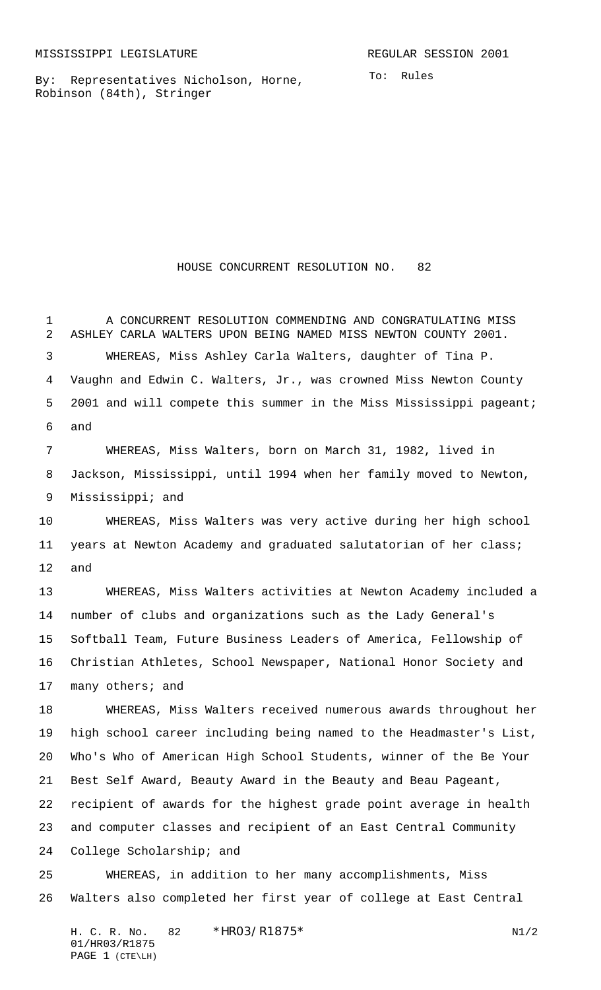By: Representatives Nicholson, Horne, Robinson (84th), Stringer

HOUSE CONCURRENT RESOLUTION NO. 82

 A CONCURRENT RESOLUTION COMMENDING AND CONGRATULATING MISS ASHLEY CARLA WALTERS UPON BEING NAMED MISS NEWTON COUNTY 2001. WHEREAS, Miss Ashley Carla Walters, daughter of Tina P. Vaughn and Edwin C. Walters, Jr., was crowned Miss Newton County 5 2001 and will compete this summer in the Miss Mississippi pageant; and

 WHEREAS, Miss Walters, born on March 31, 1982, lived in Jackson, Mississippi, until 1994 when her family moved to Newton, Mississippi; and

 WHEREAS, Miss Walters was very active during her high school years at Newton Academy and graduated salutatorian of her class; and

 WHEREAS, Miss Walters activities at Newton Academy included a number of clubs and organizations such as the Lady General's Softball Team, Future Business Leaders of America, Fellowship of Christian Athletes, School Newspaper, National Honor Society and 17 many others; and

 WHEREAS, Miss Walters received numerous awards throughout her high school career including being named to the Headmaster's List, Who's Who of American High School Students, winner of the Be Your Best Self Award, Beauty Award in the Beauty and Beau Pageant, recipient of awards for the highest grade point average in health and computer classes and recipient of an East Central Community College Scholarship; and

 WHEREAS, in addition to her many accomplishments, Miss Walters also completed her first year of college at East Central

H. C. R. No.  $82 * HR03/R1875*$  N1/2 01/HR03/R1875 PAGE 1 (CTE\LH)